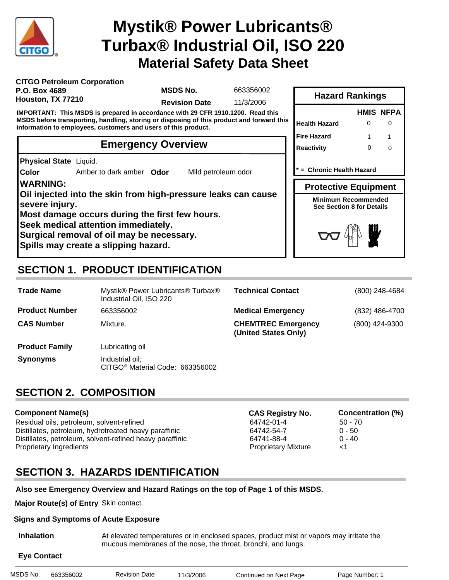

# **Material Safety Data Sheet Mystik® Power Lubricants® Turbax® Industrial Oil, ISO 220**

| <b>CITGO Petroleum Corporation</b> |  |
|------------------------------------|--|
| P.O. Box 4689                      |  |
| Houston, TX 77210                  |  |

**MSDS No.**

663356002

**Revision Date** 11/3/2006

**IMPORTANT: This MSDS is prepared in accordance with 29 CFR 1910.1200. Read this MSDS before transporting, handling, storing or disposing of this product and forward this information to employees, customers and users of this product.**

## **Emergency Overview**

**Physical State** Liquid.

**Color** Amber to dark amber **Odor** Mild petroleum odor

### **WARNING:**

**Oil injected into the skin from high-pressure leaks can cause severe injury.**

**Most damage occurs during the first few hours.**

**Seek medical attention immediately.**

**Surgical removal of oil may be necessary.**

**Spills may create a slipping hazard.**

# **SECTION 1. PRODUCT IDENTIFICATION**

| <b>Trade Name</b>     | Mystik® Power Lubricants® Turbax®<br>Industrial Oil, ISO 220   | <b>Technical Contact</b>                          | (800) 248-4684 |
|-----------------------|----------------------------------------------------------------|---------------------------------------------------|----------------|
| <b>Product Number</b> | 663356002                                                      | <b>Medical Emergency</b>                          | (832) 486-4700 |
| <b>CAS Number</b>     | Mixture.                                                       | <b>CHEMTREC Emergency</b><br>(United States Only) | (800) 424-9300 |
| <b>Product Family</b> | Lubricating oil                                                |                                                   |                |
| <b>Synonyms</b>       | Industrial oil;<br>CITGO <sup>®</sup> Material Code: 663356002 |                                                   |                |

## **SECTION 2. COMPOSITION**

### **Component Name(s)**

Residual oils, petroleum, solvent-refined  $64742-01-4$  50 - 70 Distillates, petroleum, hydrotreated heavy paraffinic 64742-54-7 0 - 50 Distillates, petroleum, solvent-refined heavy paraffinic 64741-88-4 0 - 40 Proprietary Ingredients Proprietary Mixture <1

**CAS Registry No. Concentration (%)**

## **SECTION 3. HAZARDS IDENTIFICATION**

### **Also see Emergency Overview and Hazard Ratings on the top of Page 1 of this MSDS.**

**Major Route(s) of Entry** Skin contact.

### **Signs and Symptoms of Acute Exposure**

 **Inhalation** At elevated temperatures or in enclosed spaces, product mist or vapors may irritate the mucous membranes of the nose, the throat, bronchi, and lungs.

## **Eye Contact**

| MSDS No.<br><b>Revision Date</b><br>663356002<br>11/3/2006<br>Continue |
|------------------------------------------------------------------------|
|------------------------------------------------------------------------|

| * = Chronic Health Hazard                                      |   |
|----------------------------------------------------------------|---|
| <b>Protective Equipment</b>                                    |   |
| <b>Minimum Recommended</b><br><b>See Section 8 for Details</b> |   |
| $\frac{1}{2}$                                                  | ₩ |

**Health Hazard** 0

**Hazard Rankings**

**Fire Hazard**

**Reactivity**

 $\Omega$ 1

**HMIS NFPA**

0 1  $\Omega$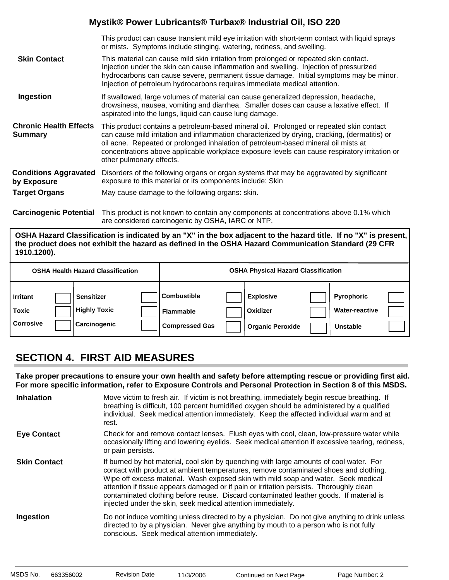|                                                 | This product can cause transient mild eye irritation with short-term contact with liquid sprays<br>or mists. Symptoms include stinging, watering, redness, and swelling.                                                                                                                                                                                                                                    |
|-------------------------------------------------|-------------------------------------------------------------------------------------------------------------------------------------------------------------------------------------------------------------------------------------------------------------------------------------------------------------------------------------------------------------------------------------------------------------|
| <b>Skin Contact</b>                             | This material can cause mild skin irritation from prolonged or repeated skin contact.<br>Injection under the skin can cause inflammation and swelling. Injection of pressurized<br>hydrocarbons can cause severe, permanent tissue damage. Initial symptoms may be minor.<br>Injection of petroleum hydrocarbons requires immediate medical attention.                                                      |
| Ingestion                                       | If swallowed, large volumes of material can cause generalized depression, headache,<br>drowsiness, nausea, vomiting and diarrhea. Smaller doses can cause a laxative effect. If<br>aspirated into the lungs, liquid can cause lung damage.                                                                                                                                                                  |
| <b>Chronic Health Effects</b><br><b>Summary</b> | This product contains a petroleum-based mineral oil. Prolonged or repeated skin contact<br>can cause mild irritation and inflammation characterized by drying, cracking, (dermatitis) or<br>oil acne. Repeated or prolonged inhalation of petroleum-based mineral oil mists at<br>concentrations above applicable workplace exposure levels can cause respiratory irritation or<br>other pulmonary effects. |
| <b>Conditions Aggravated</b><br>by Exposure     | Disorders of the following organs or organ systems that may be aggravated by significant<br>exposure to this material or its components include: Skin                                                                                                                                                                                                                                                       |
| <b>Target Organs</b>                            | May cause damage to the following organs: skin.                                                                                                                                                                                                                                                                                                                                                             |

**Carcinogenic Potential** This product is not known to contain any components at concentrations above 0.1% which are considered carcinogenic by OSHA, IARC or NTP.

**OSHA Hazard Classification is indicated by an "X" in the box adjacent to the hazard title. If no "X" is present, the product does not exhibit the hazard as defined in the OSHA Hazard Communication Standard (29 CFR 1910.1200).**

|                                              | <b>OSHA Health Hazard Classification</b>                 |                                                                 | <b>OSHA Physical Hazard Classification</b>              |                                                        |  |
|----------------------------------------------|----------------------------------------------------------|-----------------------------------------------------------------|---------------------------------------------------------|--------------------------------------------------------|--|
| <b>Irritant</b><br>Toxic<br><b>Corrosive</b> | <b>Sensitizer</b><br><b>Highly Toxic</b><br>Carcinogenic | <b>Combustible</b><br><b>Flammable</b><br><b>Compressed Gas</b> | <b>Explosive</b><br>Oxidizer<br><b>Organic Peroxide</b> | <b>Pyrophoric</b><br><b>Water-reactive</b><br>Unstable |  |

## **SECTION 4. FIRST AID MEASURES**

**Take proper precautions to ensure your own health and safety before attempting rescue or providing first aid. For more specific information, refer to Exposure Controls and Personal Protection in Section 8 of this MSDS.**

| <b>Inhalation</b>   | Move victim to fresh air. If victim is not breathing, immediately begin rescue breathing. If<br>breathing is difficult, 100 percent humidified oxygen should be administered by a qualified<br>individual. Seek medical attention immediately. Keep the affected individual warm and at<br>rest.                                                                                                                                                                                                                            |
|---------------------|-----------------------------------------------------------------------------------------------------------------------------------------------------------------------------------------------------------------------------------------------------------------------------------------------------------------------------------------------------------------------------------------------------------------------------------------------------------------------------------------------------------------------------|
| <b>Eye Contact</b>  | Check for and remove contact lenses. Flush eyes with cool, clean, low-pressure water while<br>occasionally lifting and lowering eyelids. Seek medical attention if excessive tearing, redness,<br>or pain persists.                                                                                                                                                                                                                                                                                                         |
| <b>Skin Contact</b> | If burned by hot material, cool skin by quenching with large amounts of cool water. For<br>contact with product at ambient temperatures, remove contaminated shoes and clothing.<br>Wipe off excess material. Wash exposed skin with mild soap and water. Seek medical<br>attention if tissue appears damaged or if pain or irritation persists. Thoroughly clean<br>contaminated clothing before reuse. Discard contaminated leather goods. If material is<br>injected under the skin, seek medical attention immediately. |
| Ingestion           | Do not induce vomiting unless directed to by a physician. Do not give anything to drink unless<br>directed to by a physician. Never give anything by mouth to a person who is not fully<br>conscious. Seek medical attention immediately.                                                                                                                                                                                                                                                                                   |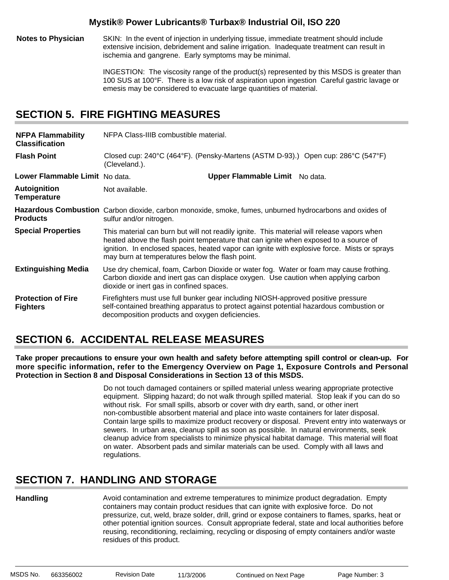**Notes to Physician** SKIN: In the event of injection in underlying tissue, immediate treatment should include extensive incision, debridement and saline irrigation. Inadequate treatment can result in ischemia and gangrene. Early symptoms may be minimal.

> INGESTION: The viscosity range of the product(s) represented by this MSDS is greater than 100 SUS at 100°F. There is a low risk of aspiration upon ingestion Careful gastric lavage or emesis may be considered to evacuate large quantities of material.

## **SECTION 5. FIRE FIGHTING MEASURES**

| <b>NFPA Flammability</b><br><b>Classification</b> | NFPA Class-IIIB combustible material.                                                                                                                                                                                                                                                                                                |                                |  |
|---------------------------------------------------|--------------------------------------------------------------------------------------------------------------------------------------------------------------------------------------------------------------------------------------------------------------------------------------------------------------------------------------|--------------------------------|--|
| <b>Flash Point</b>                                | Closed cup: 240°C (464°F). (Pensky-Martens (ASTM D-93).) Open cup: 286°C (547°F)<br>(Cleveland.).                                                                                                                                                                                                                                    |                                |  |
| Lower Flammable Limit No data.                    |                                                                                                                                                                                                                                                                                                                                      | Upper Flammable Limit No data. |  |
| <b>Autoignition</b><br><b>Temperature</b>         | Not available.                                                                                                                                                                                                                                                                                                                       |                                |  |
| <b>Products</b>                                   | Hazardous Combustion Carbon dioxide, carbon monoxide, smoke, fumes, unburned hydrocarbons and oxides of<br>sulfur and/or nitrogen.                                                                                                                                                                                                   |                                |  |
| <b>Special Properties</b>                         | This material can burn but will not readily ignite. This material will release vapors when<br>heated above the flash point temperature that can ignite when exposed to a source of<br>ignition. In enclosed spaces, heated vapor can ignite with explosive force. Mists or sprays<br>may burn at temperatures below the flash point. |                                |  |
| <b>Extinguishing Media</b>                        | Use dry chemical, foam, Carbon Dioxide or water fog. Water or foam may cause frothing.<br>Carbon dioxide and inert gas can displace oxygen. Use caution when applying carbon<br>dioxide or inert gas in confined spaces.                                                                                                             |                                |  |
| <b>Protection of Fire</b><br><b>Fighters</b>      | Firefighters must use full bunker gear including NIOSH-approved positive pressure<br>self-contained breathing apparatus to protect against potential hazardous combustion or<br>decomposition products and oxygen deficiencies.                                                                                                      |                                |  |

## **SECTION 6. ACCIDENTAL RELEASE MEASURES**

**Take proper precautions to ensure your own health and safety before attempting spill control or clean-up. For more specific information, refer to the Emergency Overview on Page 1, Exposure Controls and Personal Protection in Section 8 and Disposal Considerations in Section 13 of this MSDS.**

> Do not touch damaged containers or spilled material unless wearing appropriate protective equipment. Slipping hazard; do not walk through spilled material. Stop leak if you can do so without risk. For small spills, absorb or cover with dry earth, sand, or other inert non-combustible absorbent material and place into waste containers for later disposal. Contain large spills to maximize product recovery or disposal. Prevent entry into waterways or sewers. In urban area, cleanup spill as soon as possible. In natural environments, seek cleanup advice from specialists to minimize physical habitat damage. This material will float on water. Absorbent pads and similar materials can be used. Comply with all laws and regulations.

## **SECTION 7. HANDLING AND STORAGE**

### **Handling**

Avoid contamination and extreme temperatures to minimize product degradation. Empty containers may contain product residues that can ignite with explosive force. Do not pressurize, cut, weld, braze solder, drill, grind or expose containers to flames, sparks, heat or other potential ignition sources. Consult appropriate federal, state and local authorities before reusing, reconditioning, reclaiming, recycling or disposing of empty containers and/or waste residues of this product.

MSDS No. 663356002 Revision Date 11/3/2006 Continued on Next Page Page Number: 3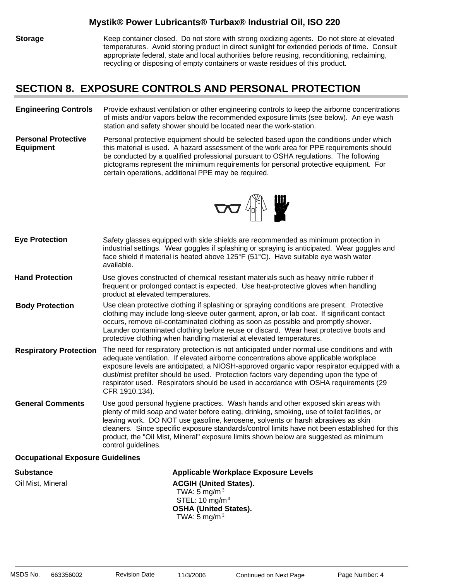**Storage** Keep container closed. Do not store with strong oxidizing agents. Do not store at elevated temperatures. Avoid storing product in direct sunlight for extended periods of time. Consult appropriate federal, state and local authorities before reusing, reconditioning, reclaiming, recycling or disposing of empty containers or waste residues of this product.

### **SECTION 8. EXPOSURE CONTROLS AND PERSONAL PROTECTION**

#### **Engineering Controls** Provide exhaust ventilation or other engineering controls to keep the airborne concentrations of mists and/or vapors below the recommended exposure limits (see below). An eye wash station and safety shower should be located near the work-station.

**Personal Protective Equipment** Personal protective equipment should be selected based upon the conditions under which this material is used. A hazard assessment of the work area for PPE requirements should be conducted by a qualified professional pursuant to OSHA regulations. The following pictograms represent the minimum requirements for personal protective equipment. For certain operations, additional PPE may be required.



| <b>Eye Protection</b>         | Safety glasses equipped with side shields are recommended as minimum protection in<br>industrial settings. Wear goggles if splashing or spraying is anticipated. Wear goggles and<br>face shield if material is heated above 125°F (51°C). Have suitable eye wash water<br>available.                                                                                                                                                                                                  |
|-------------------------------|----------------------------------------------------------------------------------------------------------------------------------------------------------------------------------------------------------------------------------------------------------------------------------------------------------------------------------------------------------------------------------------------------------------------------------------------------------------------------------------|
| <b>Hand Protection</b>        | Use gloves constructed of chemical resistant materials such as heavy nitrile rubber if<br>frequent or prolonged contact is expected. Use heat-protective gloves when handling<br>product at elevated temperatures.                                                                                                                                                                                                                                                                     |
| <b>Body Protection</b>        | Use clean protective clothing if splashing or spraying conditions are present. Protective<br>clothing may include long-sleeve outer garment, apron, or lab coat. If significant contact<br>occurs, remove oil-contaminated clothing as soon as possible and promptly shower.<br>Launder contaminated clothing before reuse or discard. Wear heat protective boots and<br>protective clothing when handling material at elevated temperatures.                                          |
| <b>Respiratory Protection</b> | The need for respiratory protection is not anticipated under normal use conditions and with<br>adequate ventilation. If elevated airborne concentrations above applicable workplace<br>exposure levels are anticipated, a NIOSH-approved organic vapor respirator equipped with a<br>dust/mist prefilter should be used. Protection factors vary depending upon the type of<br>respirator used. Respirators should be used in accordance with OSHA requirements (29<br>CFR 1910.134).  |
| <b>General Comments</b>       | Use good personal hygiene practices. Wash hands and other exposed skin areas with<br>plenty of mild soap and water before eating, drinking, smoking, use of toilet facilities, or<br>leaving work. DO NOT use gasoline, kerosene, solvents or harsh abrasives as skin<br>cleaners. Since specific exposure standards/control limits have not been established for this<br>product, the "Oil Mist, Mineral" exposure limits shown below are suggested as minimum<br>control guidelines. |

### **Occupational Exposure Guidelines**

**Substance Applicable Workplace Exposure Levels** Oil Mist, Mineral **ACGIH (United States).** ACGIH (United States). TWA:  $5 \text{ mg/m}^3$  STEL: 10 mg/m3 **OSHA (United States).** TWA:  $5 \text{ mg/m}^3$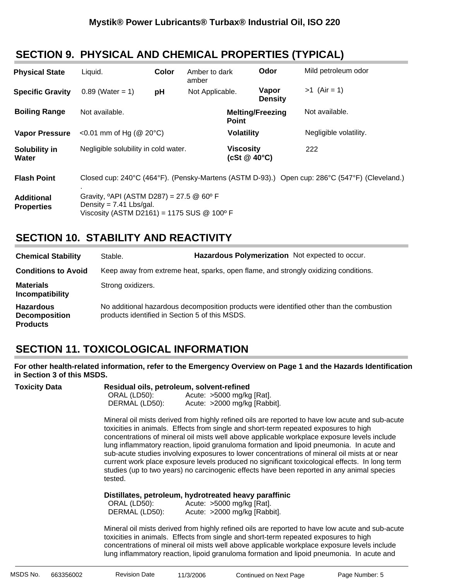## **SECTION 9. PHYSICAL AND CHEMICAL PROPERTIES (TYPICAL)**

| <b>Physical State</b>                  | Liquid.                                                                                                                                             | Color | Amber to dark<br>amber |                                  | Odor                    | Mild petroleum odor                                                                           |
|----------------------------------------|-----------------------------------------------------------------------------------------------------------------------------------------------------|-------|------------------------|----------------------------------|-------------------------|-----------------------------------------------------------------------------------------------|
| <b>Specific Gravity</b>                | $0.89$ (Water = 1)                                                                                                                                  | pH    | Not Applicable.        |                                  | Vapor<br><b>Density</b> | $>1$ (Air = 1)                                                                                |
| <b>Boiling Range</b>                   | Not available.                                                                                                                                      |       |                        | <b>Point</b>                     | <b>Melting/Freezing</b> | Not available.                                                                                |
| <b>Vapor Pressure</b>                  | <0.01 mm of Hg ( $@$ 20 $°C$ )                                                                                                                      |       |                        | <b>Volatility</b>                |                         | Negligible volatility.                                                                        |
| Solubility in<br>Water                 | Negligible solubility in cold water.                                                                                                                |       |                        | <b>Viscosity</b><br>(cSt @ 40°C) |                         | 222                                                                                           |
| <b>Flash Point</b>                     |                                                                                                                                                     |       |                        |                                  |                         | Closed cup: 240°C (464°F). (Pensky-Martens (ASTM D-93).) Open cup: 286°C (547°F) (Cleveland.) |
| <b>Additional</b><br><b>Properties</b> | Gravity, $^{\circ}$ API (ASTM D287) = 27.5 @ 60 $^{\circ}$ F<br>Density = $7.41$ Lbs/gal.<br>Viscosity (ASTM D2161) = 1175 SUS $@$ 100 $^{\circ}$ F |       |                        |                                  |                         |                                                                                               |

## **SECTION 10. STABILITY AND REACTIVITY**

| <b>Chemical Stability</b>                                   | Stable.                                        | Hazardous Polymerization Not expected to occur.                                     |                                                                                          |
|-------------------------------------------------------------|------------------------------------------------|-------------------------------------------------------------------------------------|------------------------------------------------------------------------------------------|
| <b>Conditions to Avoid</b>                                  |                                                | Keep away from extreme heat, sparks, open flame, and strongly oxidizing conditions. |                                                                                          |
| <b>Materials</b><br>Incompatibility                         | Strong oxidizers.                              |                                                                                     |                                                                                          |
| <b>Hazardous</b><br><b>Decomposition</b><br><b>Products</b> | products identified in Section 5 of this MSDS. |                                                                                     | No additional hazardous decomposition products were identified other than the combustion |

## **SECTION 11. TOXICOLOGICAL INFORMATION**

**For other health-related information, refer to the Emergency Overview on Page 1 and the Hazards Identification in Section 3 of this MSDS.**

| Toxicity Data | Residual oils, petroleum, solvent-refined<br>ORAL (LD50):<br>Acute: $>5000$ mg/kg [Rat].<br>DERMAL (LD50):<br>Acute: >2000 mg/kg [Rabbit].                                                                                                                                                                                                                                                                                                                                                                                                                                                                                                                                                      |  |  |  |  |
|---------------|-------------------------------------------------------------------------------------------------------------------------------------------------------------------------------------------------------------------------------------------------------------------------------------------------------------------------------------------------------------------------------------------------------------------------------------------------------------------------------------------------------------------------------------------------------------------------------------------------------------------------------------------------------------------------------------------------|--|--|--|--|
|               | Mineral oil mists derived from highly refined oils are reported to have low acute and sub-acute<br>toxicities in animals. Effects from single and short-term repeated exposures to high<br>concentrations of mineral oil mists well above applicable workplace exposure levels include<br>lung inflammatory reaction, lipoid granuloma formation and lipoid pneumonia. In acute and<br>sub-acute studies involving exposures to lower concentrations of mineral oil mists at or near<br>current work place exposure levels produced no significant toxicological effects. In long term<br>studies (up to two years) no carcinogenic effects have been reported in any animal species<br>tested. |  |  |  |  |
|               | Distillates, petroleum, hydrotreated heavy paraffinic<br>ORAL (LD50):<br>Acute: $>5000$ mg/kg [Rat].<br>DERMAL (LD50):<br>Acute: >2000 mg/kg [Rabbit].                                                                                                                                                                                                                                                                                                                                                                                                                                                                                                                                          |  |  |  |  |
|               | Mineral oil mists derived from highly refined oils are reported to have low acute and sub-acute<br>toxicities in animals. Effects from single and short-term repeated exposures to high<br>concentrations of mineral oil mists well above applicable workplace exposure levels include<br>lung inflammatory reaction, lipoid granuloma formation and lipoid pneumonia. In acute and                                                                                                                                                                                                                                                                                                             |  |  |  |  |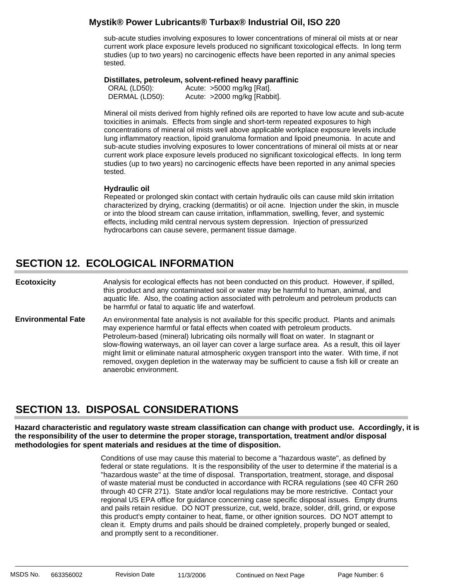sub-acute studies involving exposures to lower concentrations of mineral oil mists at or near current work place exposure levels produced no significant toxicological effects. In long term studies (up to two years) no carcinogenic effects have been reported in any animal species tested.

### **Distillates, petroleum, solvent-refined heavy paraffinic** :

 ORAL (LD50): Acute: >5000 mg/kg [Rat]. DERMAL (LD50): Acute: >2000 mg/kg [Rabbit].

Mineral oil mists derived from highly refined oils are reported to have low acute and sub-acute toxicities in animals. Effects from single and short-term repeated exposures to high concentrations of mineral oil mists well above applicable workplace exposure levels include lung inflammatory reaction, lipoid granuloma formation and lipoid pneumonia. In acute and sub-acute studies involving exposures to lower concentrations of mineral oil mists at or near current work place exposure levels produced no significant toxicological effects. In long term studies (up to two years) no carcinogenic effects have been reported in any animal species tested.

### **Hydraulic oil**:

Repeated or prolonged skin contact with certain hydraulic oils can cause mild skin irritation characterized by drying, cracking (dermatitis) or oil acne. Injection under the skin, in muscle or into the blood stream can cause irritation, inflammation, swelling, fever, and systemic effects, including mild central nervous system depression. Injection of pressurized hydrocarbons can cause severe, permanent tissue damage.

## **SECTION 12. ECOLOGICAL INFORMATION**

Analysis for ecological effects has not been conducted on this product. However, if spilled, this product and any contaminated soil or water may be harmful to human, animal, and aquatic life. Also, the coating action associated with petroleum and petroleum products can be harmful or fatal to aquatic life and waterfowl. **Ecotoxicity**

An environmental fate analysis is not available for this specific product. Plants and animals may experience harmful or fatal effects when coated with petroleum products. Petroleum-based (mineral) lubricating oils normally will float on water. In stagnant or slow-flowing waterways, an oil layer can cover a large surface area. As a result, this oil layer might limit or eliminate natural atmospheric oxygen transport into the water. With time, if not removed, oxygen depletion in the waterway may be sufficient to cause a fish kill or create an anaerobic environment. **Environmental Fate**

## **SECTION 13. DISPOSAL CONSIDERATIONS**

**Hazard characteristic and regulatory waste stream classification can change with product use. Accordingly, it is the responsibility of the user to determine the proper storage, transportation, treatment and/or disposal methodologies for spent materials and residues at the time of disposition.**

> Conditions of use may cause this material to become a "hazardous waste", as defined by federal or state regulations. It is the responsibility of the user to determine if the material is a "hazardous waste" at the time of disposal. Transportation, treatment, storage, and disposal of waste material must be conducted in accordance with RCRA regulations (see 40 CFR 260 through 40 CFR 271). State and/or local regulations may be more restrictive. Contact your regional US EPA office for guidance concerning case specific disposal issues. Empty drums and pails retain residue. DO NOT pressurize, cut, weld, braze, solder, drill, grind, or expose this product's empty container to heat, flame, or other ignition sources. DO NOT attempt to clean it. Empty drums and pails should be drained completely, properly bunged or sealed, and promptly sent to a reconditioner.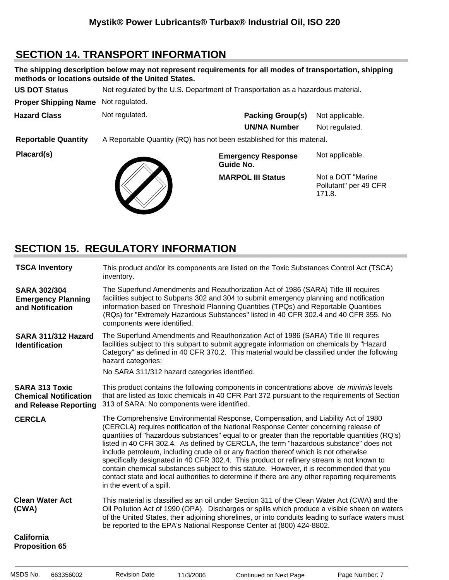## **SECTION 14. TRANSPORT INFORMATION**

| The shipping description below may not represent requirements for all modes of transportation, shipping<br>methods or locations outside of the United States. |                                                                                 |                                        |                                                       |  |  |  |  |
|---------------------------------------------------------------------------------------------------------------------------------------------------------------|---------------------------------------------------------------------------------|----------------------------------------|-------------------------------------------------------|--|--|--|--|
| <b>US DOT Status</b>                                                                                                                                          | Not regulated by the U.S. Department of Transportation as a hazardous material. |                                        |                                                       |  |  |  |  |
| <b>Proper Shipping Name</b>                                                                                                                                   | Not regulated.                                                                  |                                        |                                                       |  |  |  |  |
| <b>Hazard Class</b>                                                                                                                                           | Not regulated.                                                                  | <b>Packing Group(s)</b>                | Not applicable.                                       |  |  |  |  |
|                                                                                                                                                               |                                                                                 | <b>UN/NA Number</b>                    | Not regulated.                                        |  |  |  |  |
| <b>Reportable Quantity</b>                                                                                                                                    | A Reportable Quantity (RQ) has not been established for this material.          |                                        |                                                       |  |  |  |  |
| Placard(s)                                                                                                                                                    |                                                                                 | <b>Emergency Response</b><br>Guide No. | Not applicable.                                       |  |  |  |  |
|                                                                                                                                                               |                                                                                 | <b>MARPOL III Status</b>               | Not a DOT "Marine"<br>Pollutant" per 49 CFR<br>171.8. |  |  |  |  |

## **SECTION 15. REGULATORY INFORMATION**

| <b>TSCA Inventory</b>                                                          | This product and/or its components are listed on the Toxic Substances Control Act (TSCA)<br>inventory.                                                                                                                                                                                                                                                                                                                                                                                                                                                                                                                                                                                                                                                                              |
|--------------------------------------------------------------------------------|-------------------------------------------------------------------------------------------------------------------------------------------------------------------------------------------------------------------------------------------------------------------------------------------------------------------------------------------------------------------------------------------------------------------------------------------------------------------------------------------------------------------------------------------------------------------------------------------------------------------------------------------------------------------------------------------------------------------------------------------------------------------------------------|
| <b>SARA 302/304</b><br><b>Emergency Planning</b><br>and Notification           | The Superfund Amendments and Reauthorization Act of 1986 (SARA) Title III requires<br>facilities subject to Subparts 302 and 304 to submit emergency planning and notification<br>information based on Threshold Planning Quantities (TPQs) and Reportable Quantities<br>(RQs) for "Extremely Hazardous Substances" listed in 40 CFR 302.4 and 40 CFR 355. No<br>components were identified.                                                                                                                                                                                                                                                                                                                                                                                        |
| SARA 311/312 Hazard<br><b>Identification</b>                                   | The Superfund Amendments and Reauthorization Act of 1986 (SARA) Title III requires<br>facilities subject to this subpart to submit aggregate information on chemicals by "Hazard<br>Category" as defined in 40 CFR 370.2. This material would be classified under the following<br>hazard categories:<br>No SARA 311/312 hazard categories identified.                                                                                                                                                                                                                                                                                                                                                                                                                              |
| <b>SARA 313 Toxic</b><br><b>Chemical Notification</b><br>and Release Reporting | This product contains the following components in concentrations above de minimis levels<br>that are listed as toxic chemicals in 40 CFR Part 372 pursuant to the requirements of Section<br>313 of SARA: No components were identified.                                                                                                                                                                                                                                                                                                                                                                                                                                                                                                                                            |
| <b>CERCLA</b>                                                                  | The Comprehensive Environmental Response, Compensation, and Liability Act of 1980<br>(CERCLA) requires notification of the National Response Center concerning release of<br>quantities of "hazardous substances" equal to or greater than the reportable quantities (RQ's)<br>listed in 40 CFR 302.4. As defined by CERCLA, the term "hazardous substance" does not<br>include petroleum, including crude oil or any fraction thereof which is not otherwise<br>specifically designated in 40 CFR 302.4. This product or refinery stream is not known to<br>contain chemical substances subject to this statute. However, it is recommended that you<br>contact state and local authorities to determine if there are any other reporting requirements<br>in the event of a spill. |
| <b>Clean Water Act</b><br>(CWA)                                                | This material is classified as an oil under Section 311 of the Clean Water Act (CWA) and the<br>Oil Pollution Act of 1990 (OPA). Discharges or spills which produce a visible sheen on waters<br>of the United States, their adjoining shorelines, or into conduits leading to surface waters must<br>be reported to the EPA's National Response Center at (800) 424-8802.                                                                                                                                                                                                                                                                                                                                                                                                          |
| California                                                                     |                                                                                                                                                                                                                                                                                                                                                                                                                                                                                                                                                                                                                                                                                                                                                                                     |